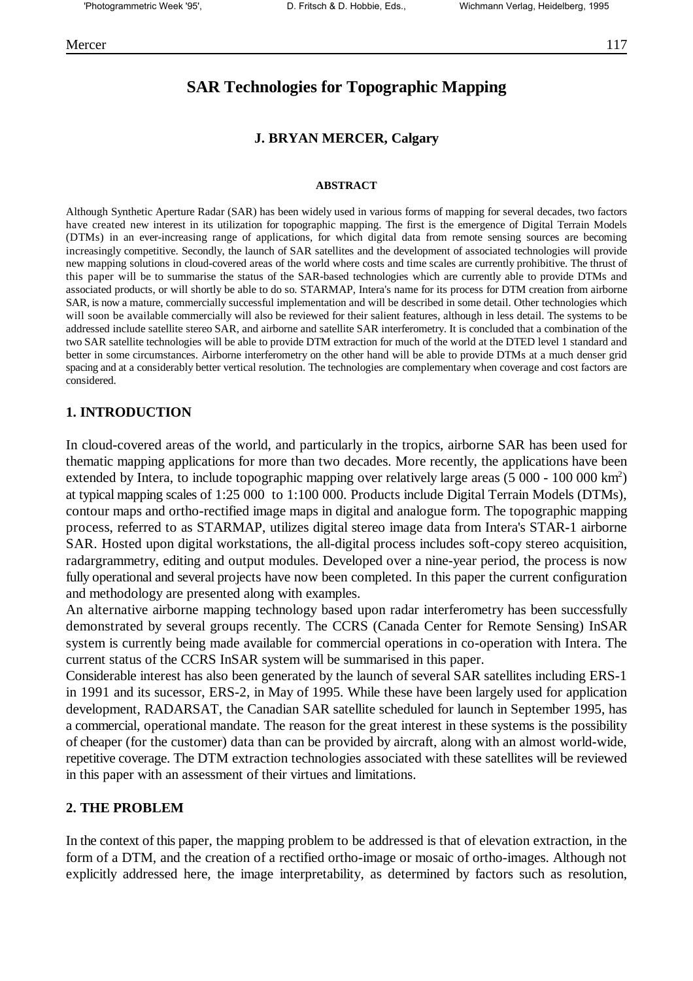## **SAR Technologies for Topographic Mapping**

## **J. BRYAN MERCER, Calgary**

#### **ABSTRACT**

Although Synthetic Aperture Radar (SAR) has been widely used in various forms of mapping for several decades, two factors have created new interest in its utilization for topographic mapping. The first is the emergence of Digital Terrain Models (DTMs) in an ever-increasing range of applications, for which digital data from remote sensing sources are becoming increasingly competitive. Secondly, the launch of SAR satellites and the development of associated technologies will provide new mapping solutions in cloud-covered areas of the world where costs and time scales are currently prohibitive. The thrust of this paper will be to summarise the status of the SAR-based technologies which are currently able to provide DTMs and associated products, or will shortly be able to do so. STARMAP, Intera's name for its process for DTM creation from airborne SAR, is now a mature, commercially successful implementation and will be described in some detail. Other technologies which will soon be available commercially will also be reviewed for their salient features, although in less detail. The systems to be addressed include satellite stereo SAR, and airborne and satellite SAR interferometry. It is concluded that a combination of the two SAR satellite technologies will be able to provide DTM extraction for much of the world at the DTED level 1 standard and better in some circumstances. Airborne interferometry on the other hand will be able to provide DTMs at a much denser grid spacing and at a considerably better vertical resolution. The technologies are complementary when coverage and cost factors are considered.

#### **1. INTRODUCTION**

In cloud-covered areas of the world, and particularly in the tropics, airborne SAR has been used for thematic mapping applications for more than two decades. More recently, the applications have been extended by Intera, to include topographic mapping over relatively large areas  $(5000 - 100000 \text{ km}^2)$ at typical mapping scales of 1:25 000 to 1:100 000. Products include Digital Terrain Models (DTMs), contour maps and ortho-rectified image maps in digital and analogue form. The topographic mapping process, referred to as STARMAP, utilizes digital stereo image data from Intera's STAR-1 airborne SAR. Hosted upon digital workstations, the all-digital process includes soft-copy stereo acquisition, radargrammetry, editing and output modules. Developed over a nine-year period, the process is now fully operational and several projects have now been completed. In this paper the current configuration and methodology are presented along with examples.

An alternative airborne mapping technology based upon radar interferometry has been successfully demonstrated by several groups recently. The CCRS (Canada Center for Remote Sensing) InSAR system is currently being made available for commercial operations in co-operation with Intera. The current status of the CCRS InSAR system will be summarised in this paper.

Considerable interest has also been generated by the launch of several SAR satellites including ERS-1 in 1991 and its sucessor, ERS-2, in May of 1995. While these have been largely used for application development, RADARSAT, the Canadian SAR satellite scheduled for launch in September 1995, has a commercial, operational mandate. The reason for the great interest in these systems is the possibility of cheaper (for the customer) data than can be provided by aircraft, along with an almost world-wide, repetitive coverage. The DTM extraction technologies associated with these satellites will be reviewed in this paper with an assessment of their virtues and limitations.

## **2. THE PROBLEM**

In the context of this paper, the mapping problem to be addressed is that of elevation extraction, in the form of a DTM, and the creation of a rectified ortho-image or mosaic of ortho-images. Although not explicitly addressed here, the image interpretability, as determined by factors such as resolution,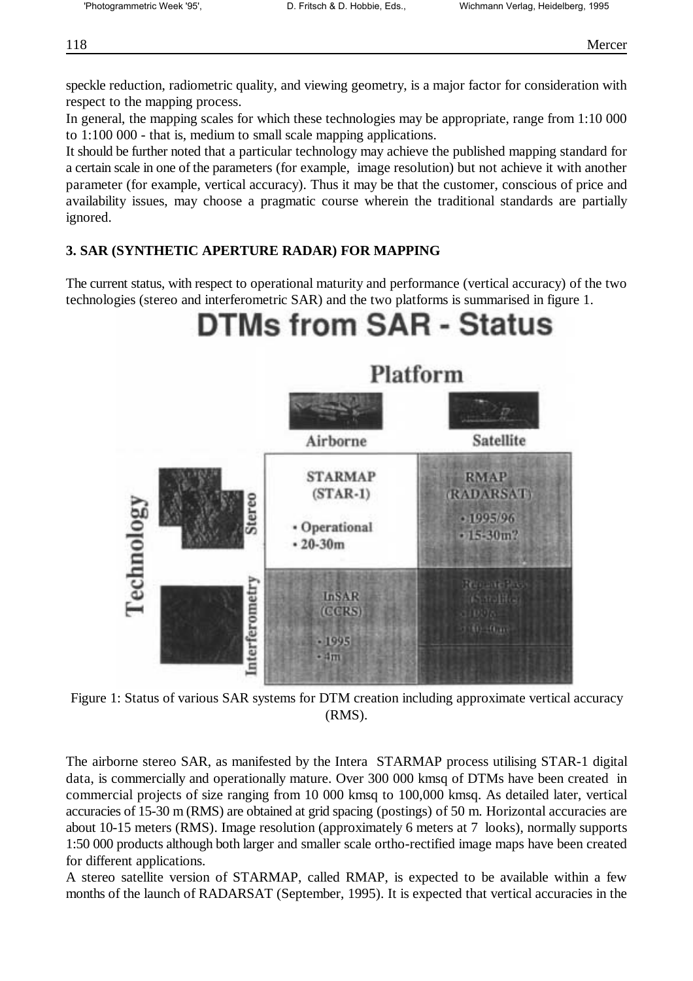speckle reduction, radiometric quality, and viewing geometry, is a major factor for consideration with respect to the mapping process.

In general, the mapping scales for which these technologies may be appropriate, range from 1:10 000 to 1:100 000 - that is, medium to small scale mapping applications.

It should be further noted that a particular technology may achieve the published mapping standard for a certain scale in one of the parameters (for example, image resolution) but not achieve it with another parameter (for example, vertical accuracy). Thus it may be that the customer, conscious of price and availability issues, may choose a pragmatic course wherein the traditional standards are partially ignored.

## **3. SAR (SYNTHETIC APERTURE RADAR) FOR MAPPING**

The current status, with respect to operational maturity and performance (vertical accuracy) of the two technologies (stereo and interferometric SAR) and the two platforms is summarised in figure 1.

# **DTMs from SAR - Status**



Figure 1: Status of various SAR systems for DTM creation including approximate vertical accuracy (RMS).

The airborne stereo SAR, as manifested by the Intera STARMAP process utilising STAR-1 digital data, is commercially and operationally mature. Over 300 000 kmsq of DTMs have been created in commercial projects of size ranging from 10 000 kmsq to 100,000 kmsq. As detailed later, vertical accuracies of 15-30 m (RMS) are obtained at grid spacing (postings) of 50 m. Horizontal accuracies are about 10-15 meters (RMS). Image resolution (approximately 6 meters at 7 looks), normally supports 1:50 000 products although both larger and smaller scale ortho-rectified image maps have been created for different applications.

A stereo satellite version of STARMAP, called RMAP, is expected to be available within a few months of the launch of RADARSAT (September, 1995). It is expected that vertical accuracies in the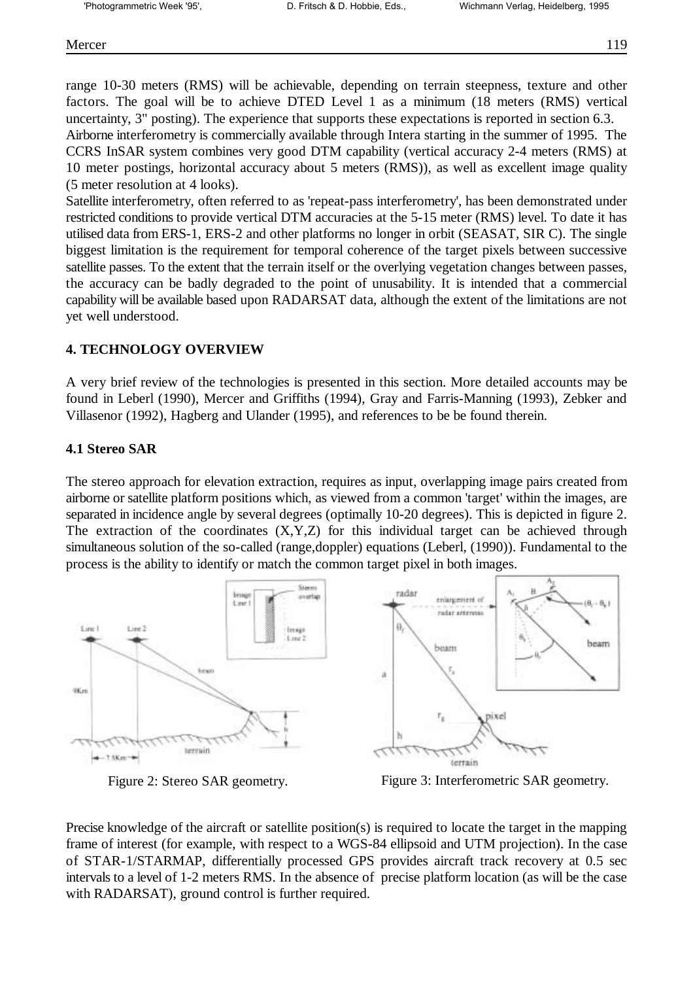range 10-30 meters (RMS) will be achievable, depending on terrain steepness, texture and other factors. The goal will be to achieve DTED Level 1 as a minimum (18 meters (RMS) vertical uncertainty, 3" posting). The experience that supports these expectations is reported in section 6.3. Airborne interferometry is commercially available through Intera starting in the summer of 1995. The CCRS InSAR system combines very good DTM capability (vertical accuracy 2-4 meters (RMS) at 10 meter postings, horizontal accuracy about 5 meters (RMS)), as well as excellent image quality

(5 meter resolution at 4 looks).

Satellite interferometry, often referred to as 'repeat-pass interferometry', has been demonstrated under restricted conditions to provide vertical DTM accuracies at the 5-15 meter (RMS) level. To date it has utilised data from ERS-1, ERS-2 and other platforms no longer in orbit (SEASAT, SIR C). The single biggest limitation is the requirement for temporal coherence of the target pixels between successive satellite passes. To the extent that the terrain itself or the overlying vegetation changes between passes, the accuracy can be badly degraded to the point of unusability. It is intended that a commercial capability will be available based upon RADARSAT data, although the extent of the limitations are not yet well understood.

## **4. TECHNOLOGY OVERVIEW**

A very brief review of the technologies is presented in this section. More detailed accounts may be found in Leberl (1990), Mercer and Griffiths (1994), Gray and Farris-Manning (1993), Zebker and Villasenor (1992), Hagberg and Ulander (1995), and references to be be found therein.

## **4.1 Stereo SAR**

The stereo approach for elevation extraction, requires as input, overlapping image pairs created from airborne or satellite platform positions which, as viewed from a common 'target' within the images, are separated in incidence angle by several degrees (optimally 10-20 degrees). This is depicted in figure 2. The extraction of the coordinates  $(X, Y, Z)$  for this individual target can be achieved through simultaneous solution of the so-called (range,doppler) equations (Leberl, (1990)). Fundamental to the process is the ability to identify or match the common target pixel in both images.



Figure 2: Stereo SAR geometry. Figure 3: Interferometric SAR geometry.

Precise knowledge of the aircraft or satellite position(s) is required to locate the target in the mapping frame of interest (for example, with respect to a WGS-84 ellipsoid and UTM projection). In the case of STAR-1/STARMAP, differentially processed GPS provides aircraft track recovery at 0.5 sec intervals to a level of 1-2 meters RMS. In the absence of precise platform location (as will be the case with RADARSAT), ground control is further required.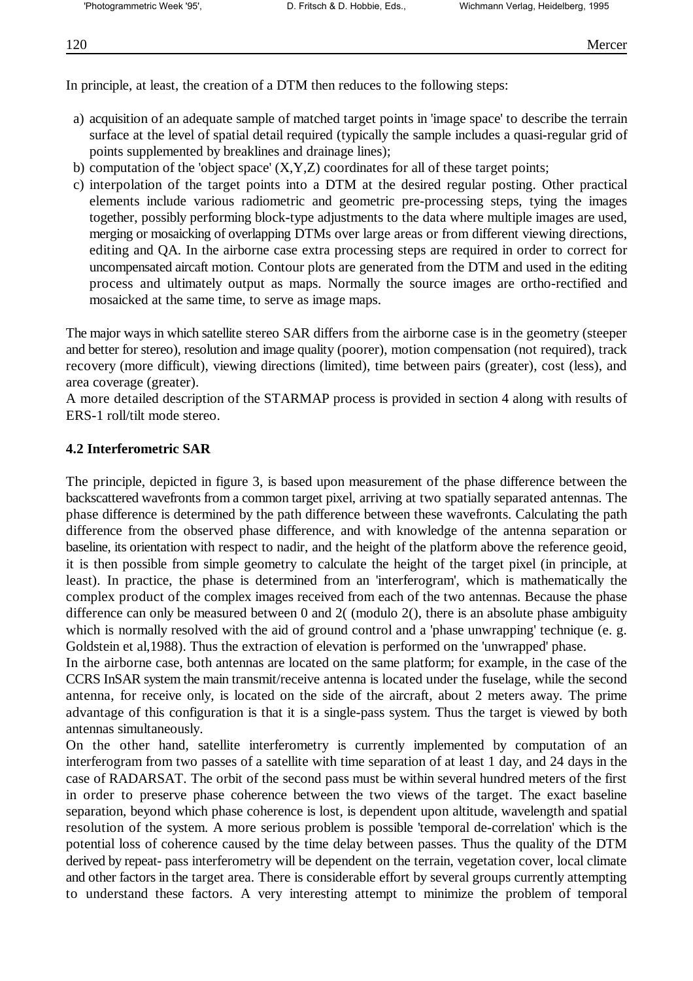In principle, at least, the creation of a DTM then reduces to the following steps:

- a) acquisition of an adequate sample of matched target points in 'image space' to describe the terrain surface at the level of spatial detail required (typically the sample includes a quasi-regular grid of points supplemented by breaklines and drainage lines);
- b) computation of the 'object space'  $(X, Y, Z)$  coordinates for all of these target points;
- c) interpolation of the target points into a DTM at the desired regular posting. Other practical elements include various radiometric and geometric pre-processing steps, tying the images together, possibly performing block-type adjustments to the data where multiple images are used, merging or mosaicking of overlapping DTMs over large areas or from different viewing directions, editing and QA. In the airborne case extra processing steps are required in order to correct for uncompensated aircaft motion. Contour plots are generated from the DTM and used in the editing process and ultimately output as maps. Normally the source images are ortho-rectified and mosaicked at the same time, to serve as image maps.

The major ways in which satellite stereo SAR differs from the airborne case is in the geometry (steeper and better for stereo), resolution and image quality (poorer), motion compensation (not required), track recovery (more difficult), viewing directions (limited), time between pairs (greater), cost (less), and area coverage (greater).

A more detailed description of the STARMAP process is provided in section 4 along with results of ERS-1 roll/tilt mode stereo.

## **4.2 Interferometric SAR**

The principle, depicted in figure 3, is based upon measurement of the phase difference between the backscattered wavefronts from a common target pixel, arriving at two spatially separated antennas. The phase difference is determined by the path difference between these wavefronts. Calculating the path difference from the observed phase difference, and with knowledge of the antenna separation or baseline, its orientation with respect to nadir, and the height of the platform above the reference geoid, it is then possible from simple geometry to calculate the height of the target pixel (in principle, at least). In practice, the phase is determined from an 'interferogram', which is mathematically the complex product of the complex images received from each of the two antennas. Because the phase difference can only be measured between 0 and 2( (modulo 2), there is an absolute phase ambiguity which is normally resolved with the aid of ground control and a 'phase unwrapping' technique (e. g. Goldstein et al,1988). Thus the extraction of elevation is performed on the 'unwrapped' phase.

In the airborne case, both antennas are located on the same platform; for example, in the case of the CCRS InSAR system the main transmit/receive antenna is located under the fuselage, while the second antenna, for receive only, is located on the side of the aircraft, about 2 meters away. The prime advantage of this configuration is that it is a single-pass system. Thus the target is viewed by both antennas simultaneously.

On the other hand, satellite interferometry is currently implemented by computation of an interferogram from two passes of a satellite with time separation of at least 1 day, and 24 days in the case of RADARSAT. The orbit of the second pass must be within several hundred meters of the first in order to preserve phase coherence between the two views of the target. The exact baseline separation, beyond which phase coherence is lost, is dependent upon altitude, wavelength and spatial resolution of the system. A more serious problem is possible 'temporal de-correlation' which is the potential loss of coherence caused by the time delay between passes. Thus the quality of the DTM derived by repeat- pass interferometry will be dependent on the terrain, vegetation cover, local climate and other factors in the target area. There is considerable effort by several groups currently attempting to understand these factors. A very interesting attempt to minimize the problem of temporal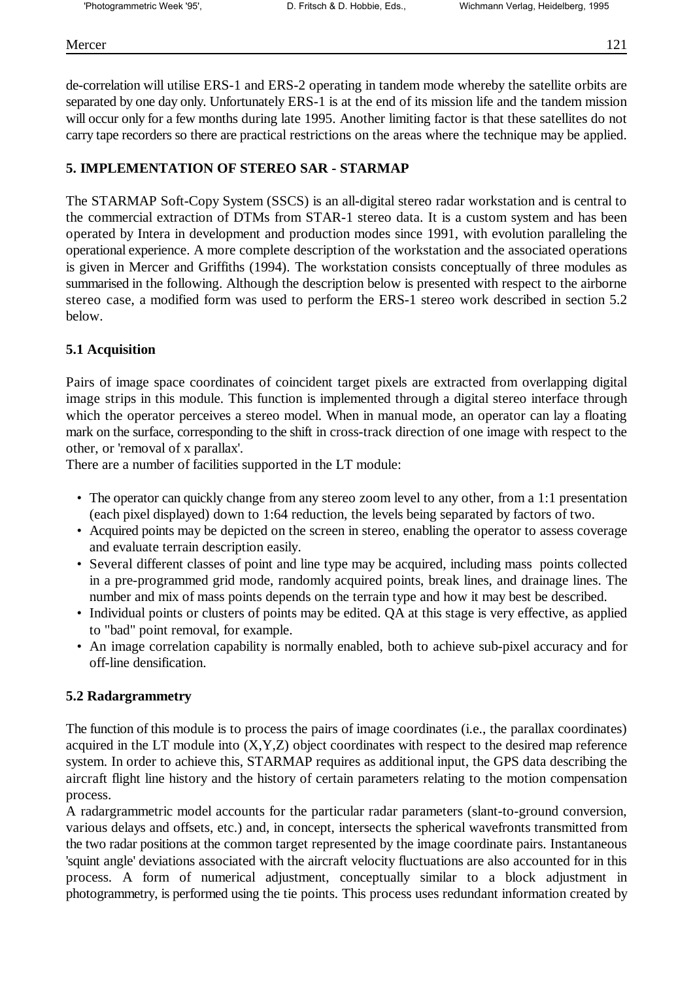de-correlation will utilise ERS-1 and ERS-2 operating in tandem mode whereby the satellite orbits are separated by one day only. Unfortunately ERS-1 is at the end of its mission life and the tandem mission will occur only for a few months during late 1995. Another limiting factor is that these satellites do not carry tape recorders so there are practical restrictions on the areas where the technique may be applied.

## **5. IMPLEMENTATION OF STEREO SAR - STARMAP**

The STARMAP Soft-Copy System (SSCS) is an all-digital stereo radar workstation and is central to the commercial extraction of DTMs from STAR-1 stereo data. It is a custom system and has been operated by Intera in development and production modes since 1991, with evolution paralleling the operational experience. A more complete description of the workstation and the associated operations is given in Mercer and Griffiths (1994). The workstation consists conceptually of three modules as summarised in the following. Although the description below is presented with respect to the airborne stereo case, a modified form was used to perform the ERS-1 stereo work described in section 5.2 below.

## **5.1 Acquisition**

Pairs of image space coordinates of coincident target pixels are extracted from overlapping digital image strips in this module. This function is implemented through a digital stereo interface through which the operator perceives a stereo model. When in manual mode, an operator can lay a floating mark on the surface, corresponding to the shift in cross-track direction of one image with respect to the other, or 'removal of x parallax'.

There are a number of facilities supported in the LT module:

- The operator can quickly change from any stereo zoom level to any other, from a 1:1 presentation (each pixel displayed) down to 1:64 reduction, the levels being separated by factors of two.
- Acquired points may be depicted on the screen in stereo, enabling the operator to assess coverage and evaluate terrain description easily.
- Several different classes of point and line type may be acquired, including mass points collected in a pre-programmed grid mode, randomly acquired points, break lines, and drainage lines. The number and mix of mass points depends on the terrain type and how it may best be described.
- Individual points or clusters of points may be edited. QA at this stage is very effective, as applied to "bad" point removal, for example.
- An image correlation capability is normally enabled, both to achieve sub-pixel accuracy and for off-line densification.

## **5.2 Radargrammetry**

The function of this module is to process the pairs of image coordinates (i.e., the parallax coordinates) acquired in the LT module into  $(X, Y, Z)$  object coordinates with respect to the desired map reference system. In order to achieve this, STARMAP requires as additional input, the GPS data describing the aircraft flight line history and the history of certain parameters relating to the motion compensation process.

A radargrammetric model accounts for the particular radar parameters (slant-to-ground conversion, various delays and offsets, etc.) and, in concept, intersects the spherical wavefronts transmitted from the two radar positions at the common target represented by the image coordinate pairs. Instantaneous 'squint angle' deviations associated with the aircraft velocity fluctuations are also accounted for in this process. A form of numerical adjustment, conceptually similar to a block adjustment in photogrammetry, is performed using the tie points. This process uses redundant information created by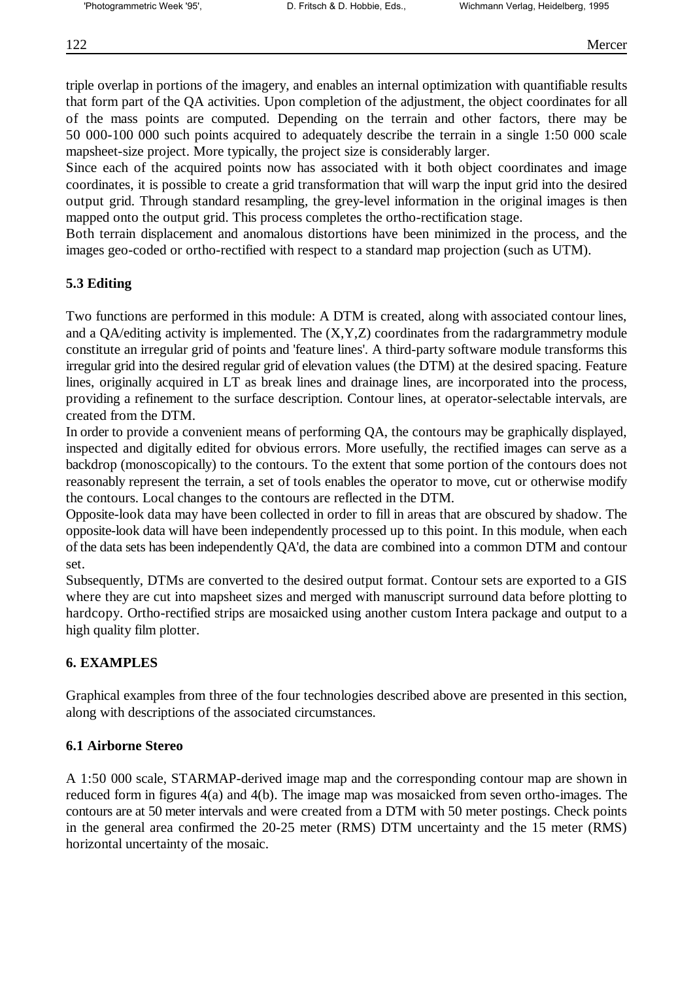triple overlap in portions of the imagery, and enables an internal optimization with quantifiable results that form part of the QA activities. Upon completion of the adjustment, the object coordinates for all of the mass points are computed. Depending on the terrain and other factors, there may be 50 000-100 000 such points acquired to adequately describe the terrain in a single 1:50 000 scale mapsheet-size project. More typically, the project size is considerably larger.

Since each of the acquired points now has associated with it both object coordinates and image coordinates, it is possible to create a grid transformation that will warp the input grid into the desired output grid. Through standard resampling, the grey-level information in the original images is then mapped onto the output grid. This process completes the ortho-rectification stage.

Both terrain displacement and anomalous distortions have been minimized in the process, and the images geo-coded or ortho-rectified with respect to a standard map projection (such as UTM).

## **5.3 Editing**

Two functions are performed in this module: A DTM is created, along with associated contour lines, and a QA/editing activity is implemented. The  $(X, Y, Z)$  coordinates from the radargrammetry module constitute an irregular grid of points and 'feature lines'. A third-party software module transforms this irregular grid into the desired regular grid of elevation values (the DTM) at the desired spacing. Feature lines, originally acquired in LT as break lines and drainage lines, are incorporated into the process, providing a refinement to the surface description. Contour lines, at operator-selectable intervals, are created from the DTM.

In order to provide a convenient means of performing QA, the contours may be graphically displayed, inspected and digitally edited for obvious errors. More usefully, the rectified images can serve as a backdrop (monoscopically) to the contours. To the extent that some portion of the contours does not reasonably represent the terrain, a set of tools enables the operator to move, cut or otherwise modify the contours. Local changes to the contours are reflected in the DTM.

Opposite-look data may have been collected in order to fill in areas that are obscured by shadow. The opposite-look data will have been independently processed up to this point. In this module, when each of the data sets has been independently QA'd, the data are combined into a common DTM and contour set.

Subsequently, DTMs are converted to the desired output format. Contour sets are exported to a GIS where they are cut into mapsheet sizes and merged with manuscript surround data before plotting to hardcopy. Ortho-rectified strips are mosaicked using another custom Intera package and output to a high quality film plotter.

## **6. EXAMPLES**

Graphical examples from three of the four technologies described above are presented in this section, along with descriptions of the associated circumstances.

## **6.1 Airborne Stereo**

A 1:50 000 scale, STARMAP-derived image map and the corresponding contour map are shown in reduced form in figures 4(a) and 4(b). The image map was mosaicked from seven ortho-images. The contours are at 50 meter intervals and were created from a DTM with 50 meter postings. Check points in the general area confirmed the 20-25 meter (RMS) DTM uncertainty and the 15 meter (RMS) horizontal uncertainty of the mosaic.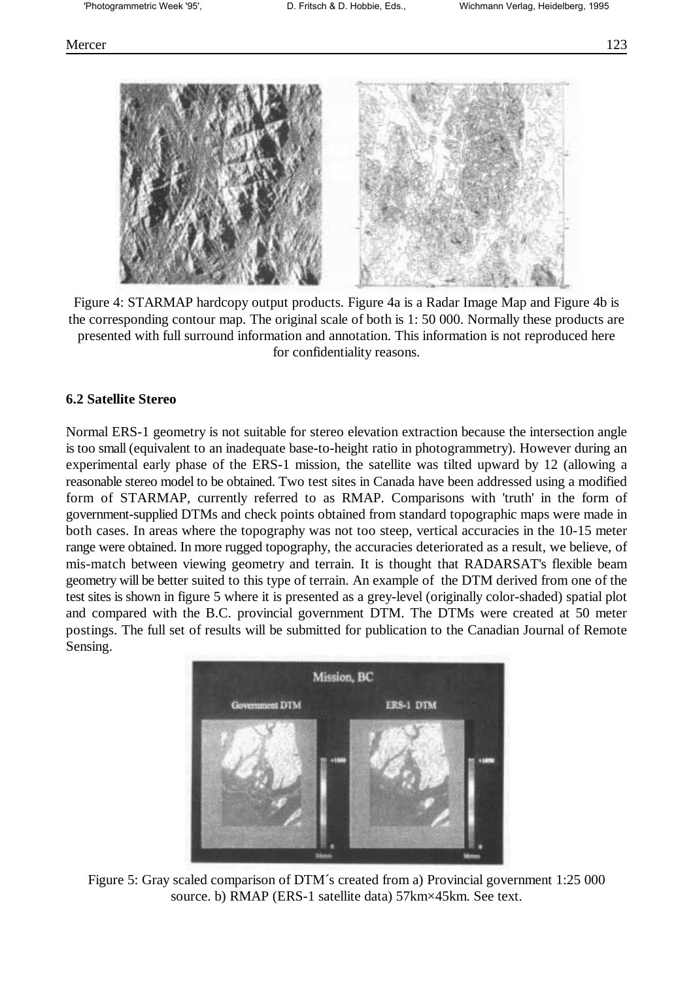

Figure 4: STARMAP hardcopy output products. Figure 4a is a Radar Image Map and Figure 4b is the corresponding contour map. The original scale of both is 1: 50 000. Normally these products are presented with full surround information and annotation. This information is not reproduced here for confidentiality reasons.

#### **6.2 Satellite Stereo**

Normal ERS-1 geometry is not suitable for stereo elevation extraction because the intersection angle is too small (equivalent to an inadequate base-to-height ratio in photogrammetry). However during an experimental early phase of the ERS-1 mission, the satellite was tilted upward by 12 (allowing a reasonable stereo model to be obtained. Two test sites in Canada have been addressed using a modified form of STARMAP, currently referred to as RMAP. Comparisons with 'truth' in the form of government-supplied DTMs and check points obtained from standard topographic maps were made in both cases. In areas where the topography was not too steep, vertical accuracies in the 10-15 meter range were obtained. In more rugged topography, the accuracies deteriorated as a result, we believe, of mis-match between viewing geometry and terrain. It is thought that RADARSAT's flexible beam geometry will be better suited to this type of terrain. An example of the DTM derived from one of the test sites is shown in figure 5 where it is presented as a grey-level (originally color-shaded) spatial plot and compared with the B.C. provincial government DTM. The DTMs were created at 50 meter postings. The full set of results will be submitted for publication to the Canadian Journal of Remote Sensing.



Figure 5: Gray scaled comparison of DTM´s created from a) Provincial government 1:25 000 source. b) RMAP (ERS-1 satellite data) 57km×45km. See text.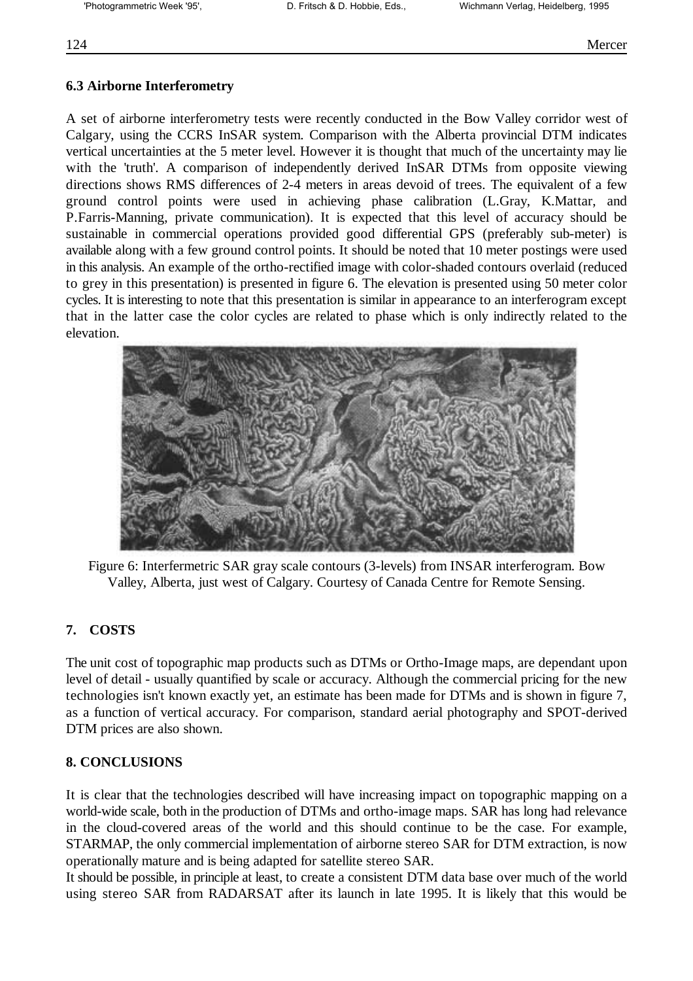## **6.3 Airborne Interferometry**

A set of airborne interferometry tests were recently conducted in the Bow Valley corridor west of Calgary, using the CCRS InSAR system. Comparison with the Alberta provincial DTM indicates vertical uncertainties at the 5 meter level. However it is thought that much of the uncertainty may lie with the 'truth'. A comparison of independently derived InSAR DTMs from opposite viewing directions shows RMS differences of 2-4 meters in areas devoid of trees. The equivalent of a few ground control points were used in achieving phase calibration (L.Gray, K.Mattar, and P.Farris-Manning, private communication). It is expected that this level of accuracy should be sustainable in commercial operations provided good differential GPS (preferably sub-meter) is available along with a few ground control points. It should be noted that 10 meter postings were used in this analysis. An example of the ortho-rectified image with color-shaded contours overlaid (reduced to grey in this presentation) is presented in figure 6. The elevation is presented using 50 meter color cycles. It is interesting to note that this presentation is similar in appearance to an interferogram except that in the latter case the color cycles are related to phase which is only indirectly related to the elevation.



Figure 6: Interfermetric SAR gray scale contours (3-levels) from INSAR interferogram. Bow Valley, Alberta, just west of Calgary. Courtesy of Canada Centre for Remote Sensing.

## **7. COSTS**

The unit cost of topographic map products such as DTMs or Ortho-Image maps, are dependant upon level of detail - usually quantified by scale or accuracy. Although the commercial pricing for the new technologies isn't known exactly yet, an estimate has been made for DTMs and is shown in figure 7, as a function of vertical accuracy. For comparison, standard aerial photography and SPOT-derived DTM prices are also shown.

## **8. CONCLUSIONS**

It is clear that the technologies described will have increasing impact on topographic mapping on a world-wide scale, both in the production of DTMs and ortho-image maps. SAR has long had relevance in the cloud-covered areas of the world and this should continue to be the case. For example, STARMAP, the only commercial implementation of airborne stereo SAR for DTM extraction, is now operationally mature and is being adapted for satellite stereo SAR.

It should be possible, in principle at least, to create a consistent DTM data base over much of the world using stereo SAR from RADARSAT after its launch in late 1995. It is likely that this would be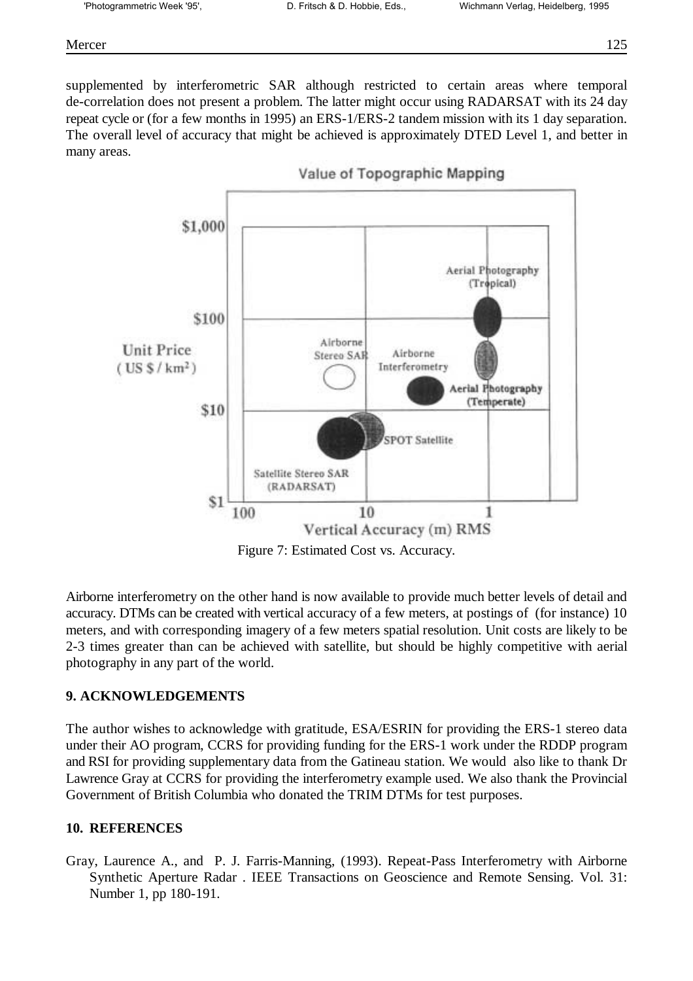#### Mercer 125

supplemented by interferometric SAR although restricted to certain areas where temporal de-correlation does not present a problem. The latter might occur using RADARSAT with its 24 day repeat cycle or (for a few months in 1995) an ERS-1/ERS-2 tandem mission with its 1 day separation. The overall level of accuracy that might be achieved is approximately DTED Level 1, and better in many areas.



Figure 7: Estimated Cost vs. Accuracy.

Airborne interferometry on the other hand is now available to provide much better levels of detail and accuracy. DTMs can be created with vertical accuracy of a few meters, at postings of (for instance) 10 meters, and with corresponding imagery of a few meters spatial resolution. Unit costs are likely to be 2-3 times greater than can be achieved with satellite, but should be highly competitive with aerial photography in any part of the world.

## **9. ACKNOWLEDGEMENTS**

The author wishes to acknowledge with gratitude, ESA/ESRIN for providing the ERS-1 stereo data under their AO program, CCRS for providing funding for the ERS-1 work under the RDDP program and RSI for providing supplementary data from the Gatineau station. We would also like to thank Dr Lawrence Gray at CCRS for providing the interferometry example used. We also thank the Provincial Government of British Columbia who donated the TRIM DTMs for test purposes.

## **10. REFERENCES**

Gray, Laurence A., and P. J. Farris-Manning, (1993). Repeat-Pass Interferometry with Airborne Synthetic Aperture Radar . IEEE Transactions on Geoscience and Remote Sensing. Vol. 31: Number 1, pp 180-191.